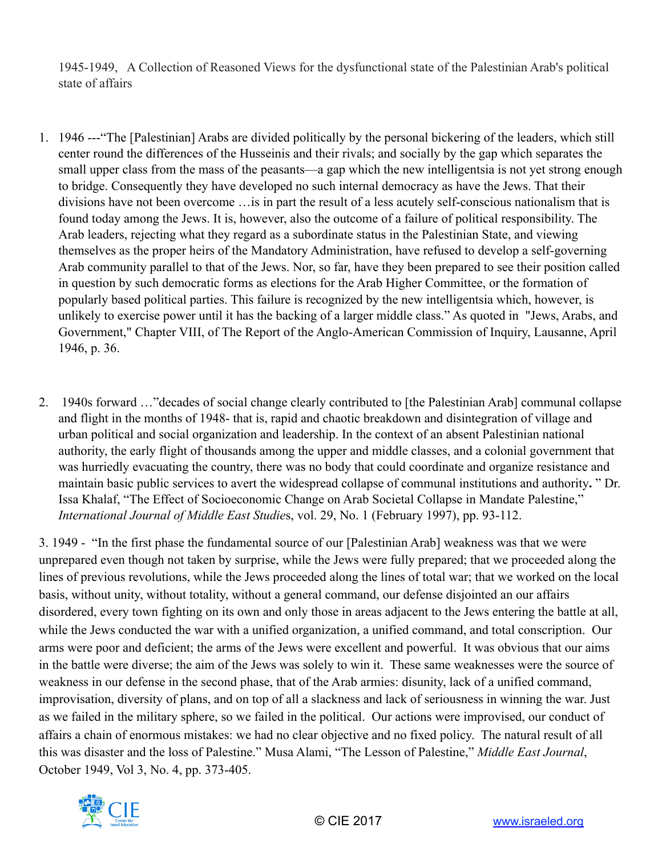1945-1949, A Collection of Reasoned Views for the dysfunctional state of the Palestinian Arab's political state of affairs

- 1. 1946 ---"The [Palestinian] Arabs are divided politically by the personal bickering of the leaders, which still center round the differences of the Husseinis and their rivals; and socially by the gap which separates the small upper class from the mass of the peasants—a gap which the new intelligentsia is not yet strong enough to bridge. Consequently they have developed no such internal democracy as have the Jews. That their divisions have not been overcome …is in part the result of a less acutely self-conscious nationalism that is found today among the Jews. It is, however, also the outcome of a failure of political responsibility. The Arab leaders, rejecting what they regard as a subordinate status in the Palestinian State, and viewing themselves as the proper heirs of the Mandatory Administration, have refused to develop a self-governing Arab community parallel to that of the Jews. Nor, so far, have they been prepared to see their position called in question by such democratic forms as elections for the Arab Higher Committee, or the formation of popularly based political parties. This failure is recognized by the new intelligentsia which, however, is unlikely to exercise power until it has the backing of a larger middle class." As quoted in "Jews, Arabs, and Government," Chapter VIII, of The Report of the Anglo-American Commission of Inquiry, Lausanne, April 1946, p. 36.
- 2. 1940s forward …"decades of social change clearly contributed to [the Palestinian Arab] communal collapse and flight in the months of 1948- that is, rapid and chaotic breakdown and disintegration of village and urban political and social organization and leadership. In the context of an absent Palestinian national authority, the early flight of thousands among the upper and middle classes, and a colonial government that was hurriedly evacuating the country, there was no body that could coordinate and organize resistance and maintain basic public services to avert the widespread collapse of communal institutions and authority**.** " Dr. Issa Khalaf, "The Effect of Socioeconomic Change on Arab Societal Collapse in Mandate Palestine," *International Journal of Middle East Studie*s, vol. 29, No. 1 (February 1997), pp. 93-112.

3. 1949 - "In the first phase the fundamental source of our [Palestinian Arab] weakness was that we were unprepared even though not taken by surprise, while the Jews were fully prepared; that we proceeded along the lines of previous revolutions, while the Jews proceeded along the lines of total war; that we worked on the local basis, without unity, without totality, without a general command, our defense disjointed an our affairs disordered, every town fighting on its own and only those in areas adjacent to the Jews entering the battle at all, while the Jews conducted the war with a unified organization, a unified command, and total conscription. Our arms were poor and deficient; the arms of the Jews were excellent and powerful. It was obvious that our aims in the battle were diverse; the aim of the Jews was solely to win it. These same weaknesses were the source of weakness in our defense in the second phase, that of the Arab armies: disunity, lack of a unified command, improvisation, diversity of plans, and on top of all a slackness and lack of seriousness in winning the war. Just as we failed in the military sphere, so we failed in the political. Our actions were improvised, our conduct of affairs a chain of enormous mistakes: we had no clear objective and no fixed policy. The natural result of all this was disaster and the loss of Palestine." Musa Alami, "The Lesson of Palestine," *Middle East Journal*, October 1949, Vol 3, No. 4, pp. 373-405.

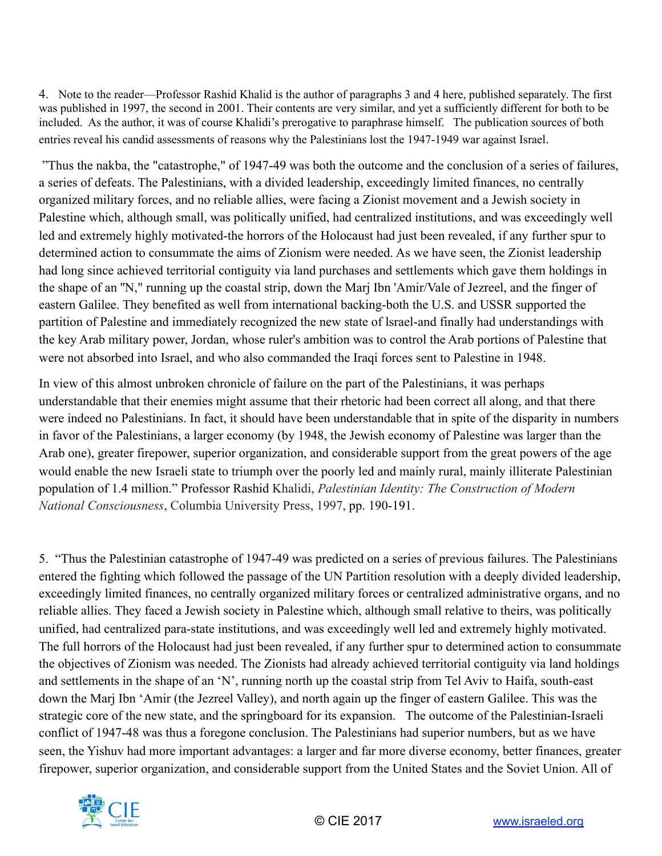4. Note to the reader—Professor Rashid Khalid is the author of paragraphs 3 and 4 here, published separately. The first was published in 1997, the second in 2001. Their contents are very similar, and yet a sufficiently different for both to be included. As the author, it was of course Khalidi's prerogative to paraphrase himself. The publication sources of both entries reveal his candid assessments of reasons why the Palestinians lost the 1947-1949 war against Israel.

 "Thus the nakba, the "catastrophe," of 1947-49 was both the outcome and the conclusion of a series of failures, a series of defeats. The Palestinians, with a divided leadership, exceedingly limited finances, no centrally organized military forces, and no reliable allies, were facing a Zionist movement and a Jewish society in Palestine which, although small, was politically unified, had centralized institutions, and was exceedingly well led and extremely highly motivated-the horrors of the Holocaust had just been revealed, if any further spur to determined action to consummate the aims of Zionism were needed. As we have seen, the Zionist leadership had long since achieved territorial contiguity via land purchases and settlements which gave them holdings in the shape of an ''N," running up the coastal strip, down the Marj Ibn 'Amir/Vale of Jezreel, and the finger of eastern Galilee. They benefited as well from international backing-both the U.S. and USSR supported the partition of Palestine and immediately recognized the new state of lsrael-and finally had understandings with the key Arab military power, Jordan, whose ruler's ambition was to control the Arab portions of Palestine that were not absorbed into Israel, and who also commanded the Iraqi forces sent to Palestine in 1948.

In view of this almost unbroken chronicle of failure on the part of the Palestinians, it was perhaps understandable that their enemies might assume that their rhetoric had been correct all along, and that there were indeed no Palestinians. In fact, it should have been understandable that in spite of the disparity in numbers in favor of the Palestinians, a larger economy (by 1948, the Jewish economy of Palestine was larger than the Arab one), greater firepower, superior organization, and considerable support from the great powers of the age would enable the new Israeli state to triumph over the poorly led and mainly rural, mainly illiterate Palestinian population of 1.4 million." Professor Rashid Khalidi, *Palestinian Identity: The Construction of Modern National Consciousness*, Columbia University Press, 1997, pp. 190-191.

5. "Thus the Palestinian catastrophe of 1947-49 was predicted on a series of previous failures. The Palestinians entered the fighting which followed the passage of the UN Partition resolution with a deeply divided leadership, exceedingly limited finances, no centrally organized military forces or centralized administrative organs, and no reliable allies. They faced a Jewish society in Palestine which, although small relative to theirs, was politically unified, had centralized para-state institutions, and was exceedingly well led and extremely highly motivated. The full horrors of the Holocaust had just been revealed, if any further spur to determined action to consummate the objectives of Zionism was needed. The Zionists had already achieved territorial contiguity via land holdings and settlements in the shape of an 'N', running north up the coastal strip from Tel Aviv to Haifa, south-east down the Marj Ibn 'Amir (the Jezreel Valley), and north again up the finger of eastern Galilee. This was the strategic core of the new state, and the springboard for its expansion. The outcome of the Palestinian-Israeli conflict of 1947-48 was thus a foregone conclusion. The Palestinians had superior numbers, but as we have seen, the Yishuv had more important advantages: a larger and far more diverse economy, better finances, greater firepower, superior organization, and considerable support from the United States and the Soviet Union. All of